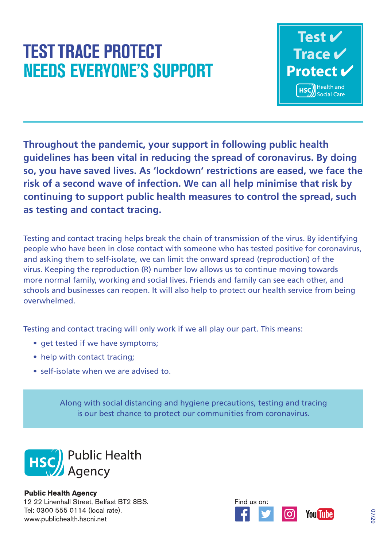## **TEST TRACE PROTECT NEEDS EVERYONE'S SUPPORT**



guidelines has been vital in reducing the spread of coronavirus. By doing **Throughout the pandemic, your support in following public health so, you have saved lives. As 'lockdown' restrictions are eased, we face the risk of a second wave of infection. We can all help minimise that risk by continuing to support public health measures to control the spread, such as testing and contact tracing.**

Testing and contact tracing helps break the chain of transmission of the virus. By identifying people who have been in close contact with someone who has tested positive for coronavirus, and asking them to self-isolate, we can limit the onward spread (reproduction) of the virus. Keeping the reproduction (R) number low allows us to continue moving towards more normal family, working and social lives. Friends and family can see each other, and schools and businesses can reopen. It will also help to protect our health service from being overwhelmed.

Testing and contact tracing will only work if we all play our part. This means:

- get tested if we have symptoms;
- help with contact tracing;
- self-isolate when we are advised to.

Along with social distancing and hygiene precautions, testing and tracing is our best chance to protect our communities from coronavirus.



**Public Health Agency** 12-22 Linenhall Street. Belfast BT2 8BS. Tel: 0300 555 0114 (local rate). www.publichealth.hscni.net